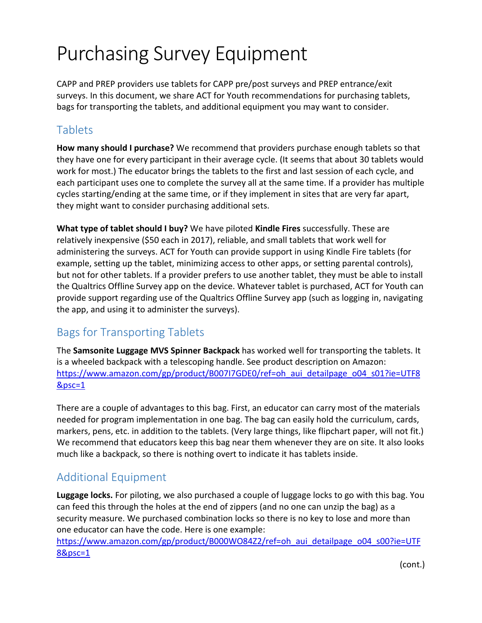## Purchasing Survey Equipment

CAPP and PREP providers use tablets for CAPP pre/post surveys and PREP entrance/exit surveys. In this document, we share ACT for Youth recommendations for purchasing tablets, bags for transporting the tablets, and additional equipment you may want to consider.

## Tablets

**How many should I purchase?** We recommend that providers purchase enough tablets so that they have one for every participant in their average cycle. (It seems that about 30 tablets would work for most.) The educator brings the tablets to the first and last session of each cycle, and each participant uses one to complete the survey all at the same time. If a provider has multiple cycles starting/ending at the same time, or if they implement in sites that are very far apart, they might want to consider purchasing additional sets.

**What type of tablet should I buy?** We have piloted **Kindle Fires** successfully. These are relatively inexpensive (\$50 each in 2017), reliable, and small tablets that work well for administering the surveys. ACT for Youth can provide support in using Kindle Fire tablets (for example, setting up the tablet, minimizing access to other apps, or setting parental controls), but not for other tablets. If a provider prefers to use another tablet, they must be able to install the Qualtrics Offline Survey app on the device. Whatever tablet is purchased, ACT for Youth can provide support regarding use of the Qualtrics Offline Survey app (such as logging in, navigating the app, and using it to administer the surveys).

## Bags for Transporting Tablets

The **Samsonite Luggage MVS Spinner Backpack** has worked well for transporting the tablets. It is a wheeled backpack with a telescoping handle. See product description on Amazon: [https://www.amazon.com/gp/product/B007I7GDE0/ref=oh\\_aui\\_detailpage\\_o04\\_s01?ie=UTF8](https://www.amazon.com/gp/product/B007I7GDE0/ref=oh_aui_detailpage_o04_s01?ie=UTF8&psc=1) [&psc=1](https://www.amazon.com/gp/product/B007I7GDE0/ref=oh_aui_detailpage_o04_s01?ie=UTF8&psc=1)

There are a couple of advantages to this bag. First, an educator can carry most of the materials needed for program implementation in one bag. The bag can easily hold the curriculum, cards, markers, pens, etc. in addition to the tablets. (Very large things, like flipchart paper, will not fit.) We recommend that educators keep this bag near them whenever they are on site. It also looks much like a backpack, so there is nothing overt to indicate it has tablets inside.

## Additional Equipment

**Luggage locks.** For piloting, we also purchased a couple of luggage locks to go with this bag. You can feed this through the holes at the end of zippers (and no one can unzip the bag) as a security measure. We purchased combination locks so there is no key to lose and more than one educator can have the code. Here is one example:

[https://www.amazon.com/gp/product/B000WO84Z2/ref=oh\\_aui\\_detailpage\\_o04\\_s00?ie=UTF](https://www.amazon.com/gp/product/B000WO84Z2/ref=oh_aui_detailpage_o04_s00?ie=UTF8&psc=1) [8&psc=1](https://www.amazon.com/gp/product/B000WO84Z2/ref=oh_aui_detailpage_o04_s00?ie=UTF8&psc=1)